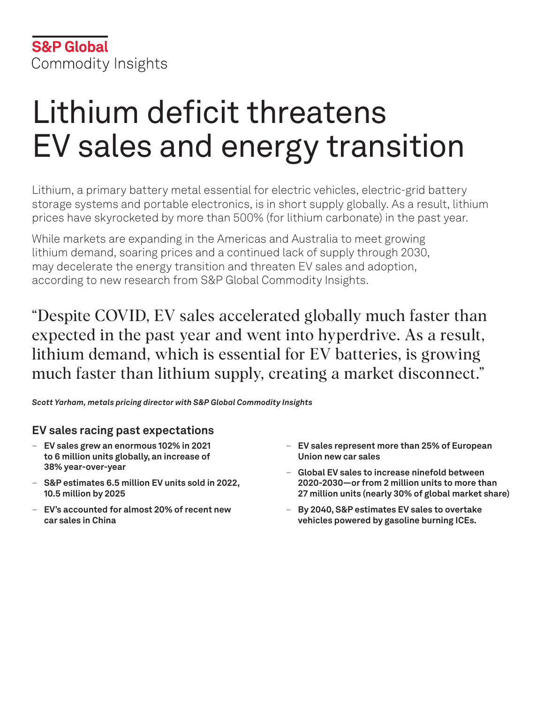# Lithium deficit threatens EV sales and energy transition

Lithium, a primary battery metal essential for electric vehicles, electric-grid battery storage systems and portable electronics, is in short supply globally. As a result, lithium prices have skyrocketed by more than 500% (for lithium carbonate) in the past year.

While markets are expanding in the Americas and Australia to meet growing lithium demand, soaring prices and a continued lack of supply through 2030, may decelerate the energy transition and threaten EV sales and adoption, according to new research from S&P Global Commodity Insights.

"Despite COVID, EV sales accelerated globally much faster than expected in the past year and went into hyperdrive. As a result, lithium demand, which is essential for EV batteries, is growing much faster than lithium supply, creating a market disconnect."

*Scott Yarham, metals pricing director with S&P Global Commodity Insights*

# **EV sales racing past expectations**

- **EV sales grew an enormous 102% in 2021 to 6 million units globally, an increase of 38% year-over-year**
- **S&P estimates 6.5 million EV units sold in 2022, 10.5 million by 2025**
- **EV's accounted for almost 20% of recent new car sales in China**
- **EV sales represent more than 25% of European Union new car sales**
- **Global EV sales to increase ninefold between 2020-2030—or from 2 million units to more than 27 million units (nearly 30% of global market share)**
- **By 2040, S&P estimates EV sales to overtake vehicles powered by gasoline burning ICEs.**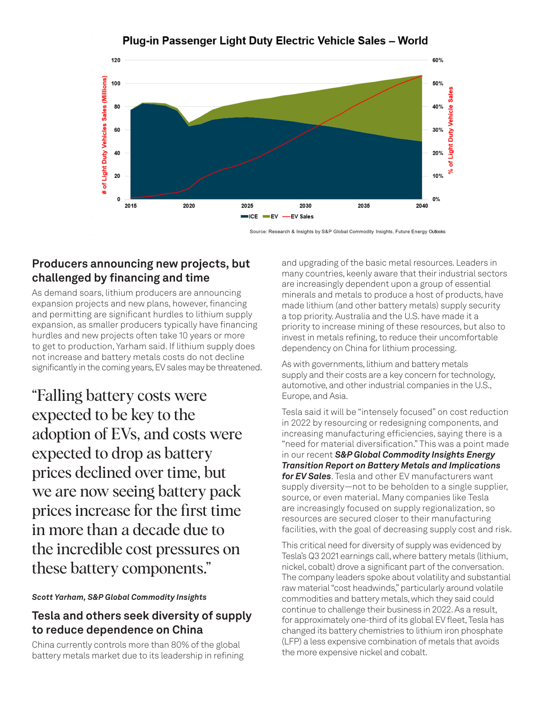

# Plug-in Passenger Light Duty Electric Vehicle Sales - World

Source: Research & Insights by S&P Global Commodity Insights, Future Energy Outlooks

# **Producers announcing new projects, but challenged by financing and time**

As demand soars, lithium producers are announcing expansion projects and new plans, however, financing and permitting are significant hurdles to lithium supply expansion, as smaller producers typically have financing hurdles and new projects often take 10 years or more to get to production, Yarham said. If lithium supply does not increase and battery metals costs do not decline significantly in the coming years, EV sales may be threatened.

"Falling battery costs were expected to be key to the adoption of EVs, and costs were expected to drop as battery prices declined over time, but we are now seeing battery pack prices increase for the first time in more than a decade due to the incredible cost pressures on these battery components."

#### *Scott Yarham, S&P Global Commodity Insights*

# **Tesla and others seek diversity of supply to reduce dependence on China**

China currently controls more than 80% of the global battery metals market due to its leadership in refining

and upgrading of the basic metal resources. Leaders in many countries, keenly aware that their industrial sectors are increasingly dependent upon a group of essential minerals and metals to produce a host of products, have made lithium (and other battery metals) supply security a top priority. Australia and the U.S. have made it a priority to increase mining of these resources, but also to invest in metals refining, to reduce their uncomfortable dependency on China for lithium processing.

As with governments, lithium and battery metals supply and their costs are a key concern for technology, automotive, and other industrial companies in the U.S., Europe, and Asia.

Tesla said it will be "intensely focused" on cost reduction in 2022 by resourcing or redesigning components, and increasing manufacturing efficiencies, saying there is a "need for material diversification." This was a point made in our recent *S&P Global Commodity Insights Energy Transition Report on Battery Metals and Implications for EV Sales*. Tesla and other EV manufacturers want supply diversity—not to be beholden to a single supplier, source, or even material. Many companies like Tesla are increasingly focused on supply regionalization, so resources are secured closer to their manufacturing facilities, with the goal of decreasing supply cost and risk.

This critical need for diversity of supply was evidenced by Tesla's Q3 2021 earnings call, where battery metals (lithium, nickel, cobalt) drove a significant part of the conversation. The company leaders spoke about volatility and substantial raw material "cost headwinds," particularly around volatile commodities and battery metals, which they said could continue to challenge their business in 2022. As a result, for approximately one-third of its global EV fleet, Tesla has changed its battery chemistries to lithium iron phosphate (LFP) a less expensive combination of metals that avoids the more expensive nickel and cobalt.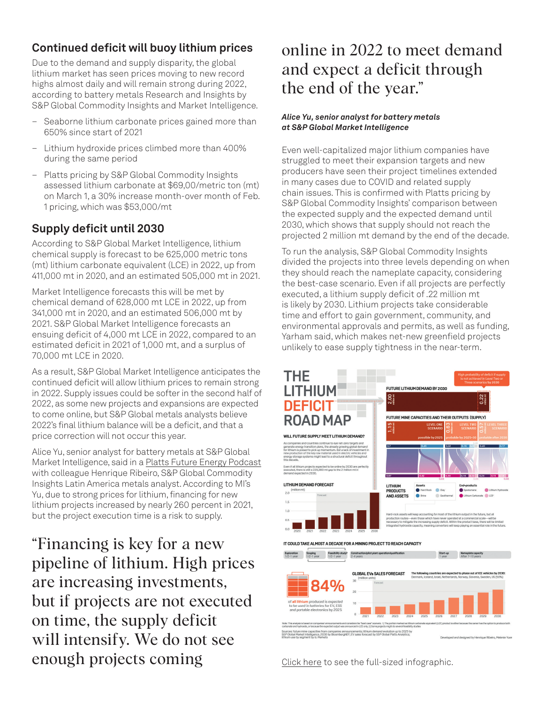# **Continued deficit will buoy lithium prices**

Due to the demand and supply disparity, the global lithium market has seen prices moving to new record highs almost daily and will remain strong during 2022, according to battery metals Research and Insights by S&P Global Commodity Insights and Market Intelligence.

- Seaborne lithium carbonate prices gained more than 650% since start of 2021
- Lithium hydroxide prices climbed more than 400% during the same period
- Platts pricing by S&P Global Commodity Insights assessed lithium carbonate at \$69,00/metric ton (mt) on March 1, a 30% increase month-over month of Feb. 1 pricing, which was \$53,000/mt

# **Supply deficit until 2030**

According to S&P Global Market Intelligence, lithium chemical supply is forecast to be 625,000 metric tons (mt) lithium carbonate equivalent (LCE) in 2022, up from 411,000 mt in 2020, and an estimated 505,000 mt in 2021.

Market Intelligence forecasts this will be met by chemical demand of 628,000 mt LCE in 2022, up from 341,000 mt in 2020, and an estimated 506,000 mt by 2021. S&P Global Market Intelligence forecasts an ensuing deficit of 4,000 mt LCE in 2022, compared to an estimated deficit in 2021 of 1,000 mt, and a surplus of 70,000 mt LCE in 2020.

As a result, S&P Global Market Intelligence anticipates the continued deficit will allow lithium prices to remain strong in 2022. Supply issues could be softer in the second half of 2022, as some new projects and expansions are expected to come online, but S&P Global metals analysts believe 2022's final lithium balance will be a deficit, and that a price correction will not occur this year.

Alice Yu, senior analyst for battery metals at S&P Global Market Intelligence, said in a [Platts Future Energy Podcast](https://www.spglobal.com/commodity-insights/en/market-insights/podcasts/platts-future-energy/020822-battery-pack-costs-electric-vehicle-ev-price-lithium-metals-energy-transition) with colleague Henrique Ribeiro, S&P Global Commodity Insights Latin America metals analyst. According to MI's Yu, due to strong prices for lithium, financing for new lithium projects increased by nearly 260 percent in 2021, but the project execution time is a risk to supply.

"Financing is key for a new pipeline of lithium. High prices are increasing investments, but if projects are not executed on time, the supply deficit will intensify. We do not see enough projects coming

# online in 2022 to meet demand and expect a deficit through the end of the year."

#### *Alice Yu, senior analyst for battery metals at S&P Global Market Intelligence*

Even well-capitalized major lithium companies have struggled to meet their expansion targets and new producers have seen their project timelines extended in many cases due to COVID and related supply chain issues. This is confirmed with Platts pricing by S&P Global Commodity Insights' comparison between the expected supply and the expected demand until 2030, which shows that supply should not reach the projected 2 million mt demand by the end of the decade.

To run the analysis, S&P Global Commodity Insights divided the projects into three levels depending on when they should reach the nameplate capacity, considering the best-case scenario. Even if all projects are perfectly executed, a lithium supply deficit of .22 million mt is likely by 2030. Lithium projects take considerable time and effort to gain government, community, and environmental approvals and permits, as well as funding, Yarham said, which makes net-new greenfield projects unlikely to ease supply tightness in the near-term.



Click here [to see the full-sized infographic.](https://www.spglobal.com/commodity-insights/PlattsContent/_assets/_images/latest-news/20220126-infographic-the-lithium-deficit-roadmap.jpg)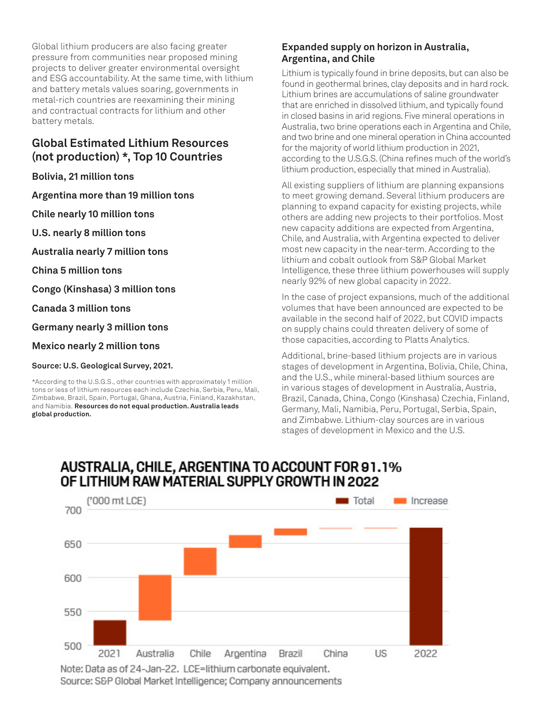Global lithium producers are also facing greater pressure from communities near proposed mining projects to deliver greater environmental oversight and ESG accountability. At the same time, with lithium and battery metals values soaring, governments in metal-rich countries are reexamining their mining and contractual contracts for lithium and other battery metals.

# **Global Estimated Lithium Resources (not production) \*, Top 10 Countries**

**Bolivia, 21 million tons**

**Argentina more than 19 million tons**

**Chile nearly 10 million tons**

**U.S. nearly 8 million tons**

**Australia nearly 7 million tons**

**China 5 million tons**

**Congo (Kinshasa) 3 million tons**

**Canada 3 million tons**

**Germany nearly 3 million tons**

**Mexico nearly 2 million tons**

**Source: U.S. Geological Survey, 2021.**

\*According to the U.S.G.S., other countries with approximately 1 million tons or less of lithium resources each include Czechia, Serbia, Peru, Mali, Zimbabwe, Brazil, Spain, Portugal, Ghana, Austria, Finland, Kazakhstan, and Namibia. **Resources do not equal production. Australia leads global production.**

#### **Expanded supply on horizon in Australia, Argentina, and Chile**

Lithium is typically found in brine deposits, but can also be found in geothermal brines, clay deposits and in hard rock. Lithium brines are accumulations of saline groundwater that are enriched in dissolved lithium, and typically found in closed basins in arid regions. Five mineral operations in Australia, two brine operations each in Argentina and Chile, and two brine and one mineral operation in China accounted for the majority of world lithium production in 2021, according to the U.S.G.S. (China refines much of the world's lithium production, especially that mined in Australia).

All existing suppliers of lithium are planning expansions to meet growing demand. Several lithium producers are planning to expand capacity for existing projects, while others are adding new projects to their portfolios. Most new capacity additions are expected from Argentina, Chile, and Australia, with Argentina expected to deliver most new capacity in the near-term. According to the lithium and cobalt outlook from S&P Global Market Intelligence, these three lithium powerhouses will supply nearly 92% of new global capacity in 2022.

In the case of project expansions, much of the additional volumes that have been announced are expected to be available in the second half of 2022, but COVID impacts on supply chains could threaten delivery of some of those capacities, according to Platts Analytics.

Additional, brine-based lithium projects are in various stages of development in Argentina, Bolivia, Chile, China, and the U.S., while mineral-based lithium sources are in various stages of development in Australia, Austria, Brazil, Canada, China, Congo (Kinshasa) Czechia, Finland, Germany, Mali, Namibia, Peru, Portugal, Serbia, Spain, and Zimbabwe. Lithium-clay sources are in various stages of development in Mexico and the U.S.

# AUSTRALIA, CHILE, ARGENTINA TO ACCOUNT FOR 91.1% OF LITHIUM RAW MATERIAL SUPPLY GROWTH IN 2022



Source: S&P Global Market Intelligence; Company announcements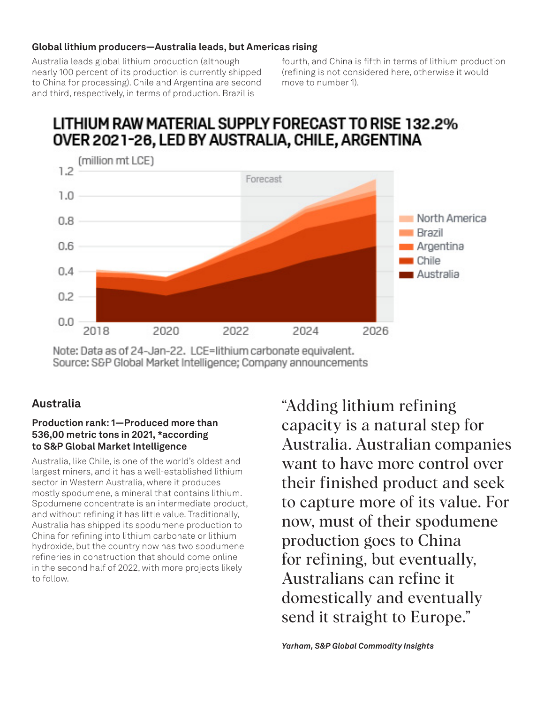#### **Global lithium producers—Australia leads, but Americas rising**

Australia leads global lithium production (although nearly 100 percent of its production is currently shipped to China for processing). Chile and Argentina are second and third, respectively, in terms of production. Brazil is

fourth, and China is fifth in terms of lithium production (refining is not considered here, otherwise it would move to number 1).

# LITHIUM RAW MATERIAL SUPPLY FORECAST TO RISE 132.2% OVER 2021-26, LED BY AUSTRALIA, CHILE, ARGENTINA



Note: Data as of 24-Jan-22. LCE=lithium carbonate equivalent. Source: S&P Global Market Intelligence; Company announcements

# **Australia**

#### **Production rank: 1—Produced more than 536,00 metric tons in 2021, \*according to S&P Global Market Intelligence**

Australia, like Chile, is one of the world's oldest and largest miners, and it has a well-established lithium sector in Western Australia, where it produces mostly spodumene, a mineral that contains lithium. Spodumene concentrate is an intermediate product, and without refining it has little value. Traditionally, Australia has shipped its spodumene production to China for refining into lithium carbonate or lithium hydroxide, but the country now has two spodumene refineries in construction that should come online in the second half of 2022, with more projects likely to follow.

"Adding lithium refining capacity is a natural step for Australia. Australian companies want to have more control over their finished product and seek to capture more of its value. For now, must of their spodumene production goes to China for refining, but eventually, Australians can refine it domestically and eventually send it straight to Europe."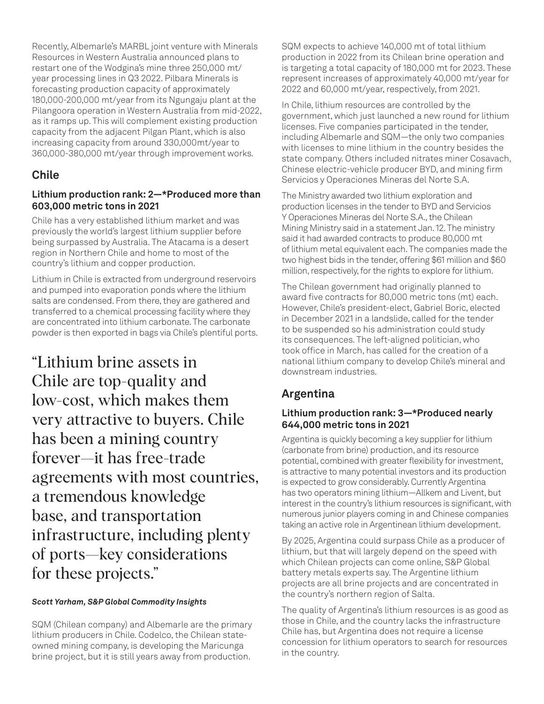Recently, Albemarle's MARBL joint venture with Minerals Resources in Western Australia announced plans to restart one of the Wodgina's mine three 250,000 mt/ year processing lines in Q3 2022. Pilbara Minerals is forecasting production capacity of approximately 180,000-200,000 mt/year from its Ngungaju plant at the Pilangoora operation in Western Australia from mid-2022, as it ramps up. This will complement existing production capacity from the adjacent Pilgan Plant, which is also increasing capacity from around 330,000mt/year to 360,000-380,000 mt/year through improvement works.

# **Chile**

#### **Lithium production rank: 2—\*Produced more than 603,000 metric tons in 2021**

Chile has a very established lithium market and was previously the world's largest lithium supplier before being surpassed by Australia. The Atacama is a desert region in Northern Chile and home to most of the country's lithium and copper production.

Lithium in Chile is extracted from underground reservoirs and pumped into evaporation ponds where the lithium salts are condensed. From there, they are gathered and transferred to a chemical processing facility where they are concentrated into lithium carbonate. The carbonate powder is then exported in bags via Chile's plentiful ports.

"Lithium brine assets in Chile are top-quality and low-cost, which makes them very attractive to buyers. Chile has been a mining country forever—it has free-trade agreements with most countries, a tremendous knowledge base, and transportation infrastructure, including plenty of ports—key considerations for these projects."

#### *Scott Yarham, S&P Global Commodity Insights*

SQM (Chilean company) and Albemarle are the primary lithium producers in Chile. Codelco, the Chilean stateowned mining company, is developing the Maricunga brine project, but it is still years away from production.

SQM expects to achieve 140,000 mt of total lithium production in 2022 from its Chilean brine operation and is targeting a total capacity of 180,000 mt for 2023. These represent increases of approximately 40,000 mt/year for 2022 and 60,000 mt/year, respectively, from 2021.

In Chile, lithium resources are controlled by the government, which just launched a new round for lithium licenses. Five companies participated in the tender, including Albemarle and SQM—the only two companies with licenses to mine lithium in the country besides the state company. Others included nitrates miner Cosavach, Chinese electric-vehicle producer BYD, and mining firm Servicios y Operaciones Mineras del Norte S.A.

The Ministry awarded two lithium exploration and production licenses in the tender to BYD and Servicios Y Operaciones Mineras del Norte S.A., the Chilean Mining Ministry said in a statement Jan. 12. The ministry said it had awarded contracts to produce 80,000 mt of lithium metal equivalent each. The companies made the two highest bids in the tender, offering \$61 million and \$60 million, respectively, for the rights to explore for lithium.

The Chilean government had originally planned to award five contracts for 80,000 metric tons (mt) each. However, Chile's president-elect, Gabriel Boric, elected in December 2021 in a landslide, called for the tender to be suspended so his administration could study its consequences. The left-aligned politician, who took office in March, has called for the creation of a national lithium company to develop Chile's mineral and downstream industries.

# **Argentina**

# **Lithium production rank: 3—\*Produced nearly 644,000 metric tons in 2021**

Argentina is quickly becoming a key supplier for lithium (carbonate from brine) production, and its resource potential, combined with greater flexibility for investment, is attractive to many potential investors and its production is expected to grow considerably. Currently Argentina has two operators mining lithium—Allkem and Livent, but interest in the country's lithium resources is significant, with numerous junior players coming in and Chinese companies taking an active role in Argentinean lithium development.

By 2025, Argentina could surpass Chile as a producer of lithium, but that will largely depend on the speed with which Chilean projects can come online, S&P Global battery metals experts say. The Argentine lithium projects are all brine projects and are concentrated in the country's northern region of Salta.

The quality of Argentina's lithium resources is as good as those in Chile, and the country lacks the infrastructure Chile has, but Argentina does not require a license concession for lithium operators to search for resources in the country.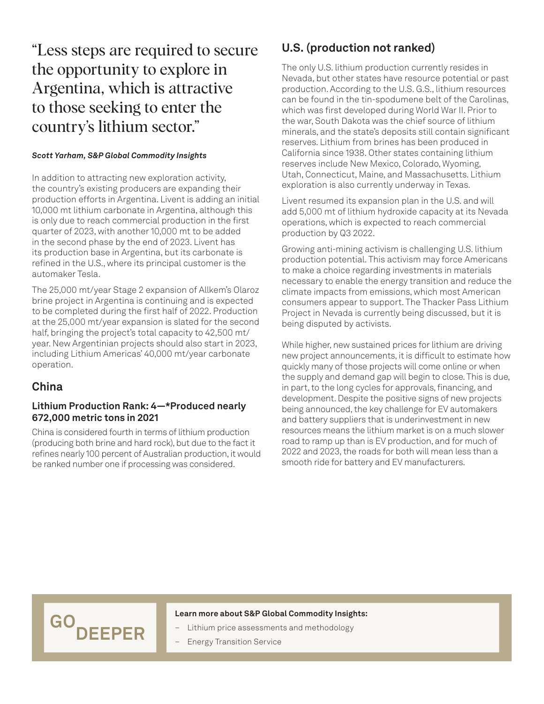"Less steps are required to secure the opportunity to explore in Argentina, which is attractive to those seeking to enter the country's lithium sector."

#### *Scott Yarham, S&P Global Commodity Insights*

In addition to attracting new exploration activity, the country's existing producers are expanding their production efforts in Argentina. Livent is adding an initial 10,000 mt lithium carbonate in Argentina, although this is only due to reach commercial production in the first quarter of 2023, with another 10,000 mt to be added in the second phase by the end of 2023. Livent has its production base in Argentina, but its carbonate is refined in the U.S., where its principal customer is the automaker Tesla.

The 25,000 mt/year Stage 2 expansion of Allkem's Olaroz brine project in Argentina is continuing and is expected to be completed during the first half of 2022. Production at the 25,000 mt/year expansion is slated for the second half, bringing the project's total capacity to 42,500 mt/ year. New Argentinian projects should also start in 2023, including Lithium Americas' 40,000 mt/year carbonate operation.

# **China**

#### **Lithium Production Rank: 4—\*Produced nearly 672,000 metric tons in 2021**

China is considered fourth in terms of lithium production (producing both brine and hard rock), but due to the fact it refines nearly 100 percent of Australian production, it would be ranked number one if processing was considered.

GO<sub>DEEPER</sub>

# **U.S. (production not ranked)**

The only U.S. lithium production currently resides in Nevada, but other states have resource potential or past production. According to the U.S. G.S., lithium resources can be found in the tin-spodumene belt of the Carolinas, which was first developed during World War II. Prior to the war, South Dakota was the chief source of lithium minerals, and the state's deposits still contain significant reserves. Lithium from brines has been produced in California since 1938. Other states containing lithium reserves include New Mexico, Colorado, Wyoming, Utah, Connecticut, Maine, and Massachusetts. Lithium exploration is also currently underway in Texas.

Livent resumed its expansion plan in the U.S. and will add 5,000 mt of lithium hydroxide capacity at its Nevada operations, which is expected to reach commercial production by Q3 2022.

Growing anti-mining activism is challenging U.S. lithium production potential. This activism may force Americans to make a choice regarding investments in materials necessary to enable the energy transition and reduce the climate impacts from emissions, which most American consumers appear to support. The Thacker Pass Lithium Project in Nevada is currently being discussed, but it is being disputed by activists.

While higher, new sustained prices for lithium are driving new project announcements, it is difficult to estimate how quickly many of those projects will come online or when the supply and demand gap will begin to close. This is due, in part, to the long cycles for approvals, financing, and development. Despite the positive signs of new projects being announced, the key challenge for EV automakers and battery suppliers that is underinvestment in new resources means the lithium market is on a much slower road to ramp up than is EV production, and for much of 2022 and 2023, the roads for both will mean less than a smooth ride for battery and EV manufacturers.

#### **Learn more about S&P Global Commodity Insights:**

- [Lithium price assessments and methodology](https://www.spglobal.com/commodity-insights/en/our-methodology/price-assessments/metals/china-lithium-assessment)
- [Energy Transition Service](https://www.spglobal.com/commodity-insights/en/products-services/energy-transition)